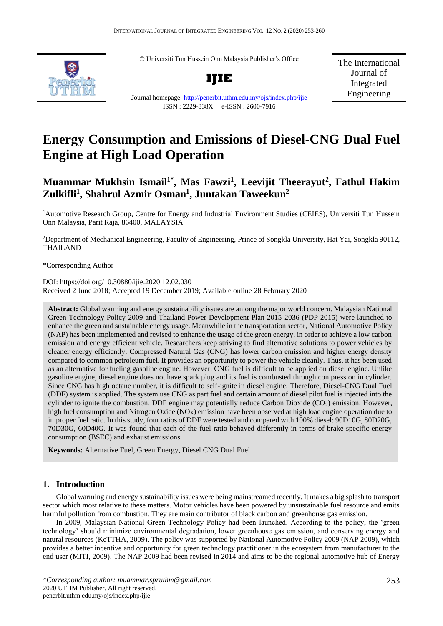© Universiti Tun Hussein Onn Malaysia Publisher's Office



**IJIE**

The International Journal of Integrated Engineering

# ISSN : 2229-838X e-ISSN : 2600-7916

Journal homepage:<http://penerbit.uthm.edu.my/ojs/index.php/ijie>

## **Energy Consumption and Emissions of Diesel-CNG Dual Fuel Engine at High Load Operation**

### **Muammar Mukhsin Ismail1\* , Mas Fawzi<sup>1</sup> , Leevijit Theerayut<sup>2</sup> , Fathul Hakim Zulkifli<sup>1</sup> , Shahrul Azmir Osman<sup>1</sup> , Juntakan Taweekun<sup>2</sup>**

<sup>1</sup>Automotive Research Group, Centre for Energy and Industrial Environment Studies (CEIES), Universiti Tun Hussein Onn Malaysia, Parit Raja, 86400, MALAYSIA

<sup>2</sup>Department of Mechanical Engineering, Faculty of Engineering, Prince of Songkla University, Hat Yai, Songkla 90112, THAILAND

\*Corresponding Author

DOI: https://doi.org/10.30880/ijie.2020.12.02.030 Received 2 June 2018; Accepted 19 December 2019; Available online 28 February 2020

**Abstract:** Global warming and energy sustainability issues are among the major world concern. Malaysian National Green Technology Policy 2009 and Thailand Power Development Plan 2015-2036 (PDP 2015) were launched to enhance the green and sustainable energy usage. Meanwhile in the transportation sector, National Automotive Policy (NAP) has been implemented and revised to enhance the usage of the green energy, in order to achieve a low carbon emission and energy efficient vehicle. Researchers keep striving to find alternative solutions to power vehicles by cleaner energy efficiently. Compressed Natural Gas (CNG) has lower carbon emission and higher energy density compared to common petroleum fuel. It provides an opportunity to power the vehicle cleanly. Thus, it has been used as an alternative for fueling gasoline engine. However, CNG fuel is difficult to be applied on diesel engine. Unlike gasoline engine, diesel engine does not have spark plug and its fuel is combusted through compression in cylinder. Since CNG has high octane number, it is difficult to self-ignite in diesel engine. Therefore, Diesel-CNG Dual Fuel (DDF) system is applied. The system use CNG as part fuel and certain amount of diesel pilot fuel is injected into the cylinder to ignite the combustion. DDF engine may potentially reduce Carbon Dioxide  $(CO<sub>2</sub>)$  emission. However, high fuel consumption and Nitrogen Oxide ( $N\text{O}_X$ ) emission have been observed at high load engine operation due to improper fuel ratio. In this study, four ratios of DDF were tested and compared with 100% diesel: 90D10G, 80D20G, 70D30G, 60D40G. It was found that each of the fuel ratio behaved differently in terms of brake specific energy consumption (BSEC) and exhaust emissions.

**Keywords:** Alternative Fuel, Green Energy, Diesel CNG Dual Fuel

#### **1. Introduction**

Global warming and energy sustainability issues were being mainstreamed recently. It makes a big splash to transport sector which most relative to these matters. Motor vehicles have been powered by unsustainable fuel resource and emits harmful pollution from combustion. They are main contributor of black carbon and greenhouse gas emission.

In 2009, Malaysian National Green Technology Policy had been launched. According to the policy, the 'green technology' should minimize environmental degradation, lower greenhouse gas emission, and conserving energy and natural resources (KeTTHA, 2009). The policy was supported by National Automotive Policy 2009 (NAP 2009), which provides a better incentive and opportunity for green technology practitioner in the ecosystem from manufacturer to the end user (MITI, 2009). The NAP 2009 had been revised in 2014 and aims to be the regional automotive hub of Energy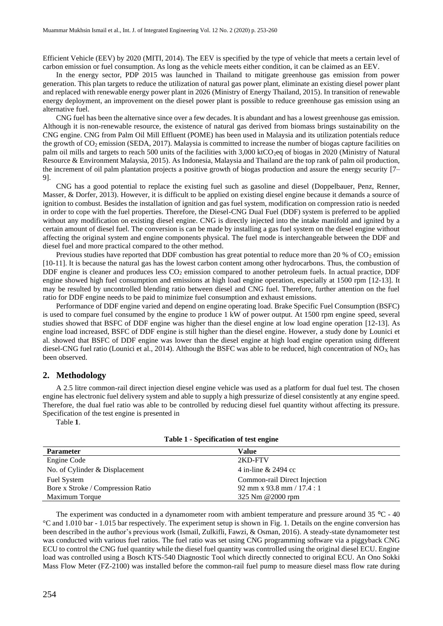Efficient Vehicle (EEV) by 2020 (MITI, 2014). The EEV is specified by the type of vehicle that meets a certain level of carbon emission or fuel consumption. As long as the vehicle meets either condition, it can be claimed as an EEV.

In the energy sector, PDP 2015 was launched in Thailand to mitigate greenhouse gas emission from power generation. This plan targets to reduce the utilization of natural gas power plant, eliminate an existing diesel power plant and replaced with renewable energy power plant in 2026 (Ministry of Energy Thailand, 2015). In transition of renewable energy deployment, an improvement on the diesel power plant is possible to reduce greenhouse gas emission using an alternative fuel.

CNG fuel has been the alternative since over a few decades. It is abundant and has a lowest greenhouse gas emission. Although it is non-renewable resource, the existence of natural gas derived from biomass brings sustainability on the CNG engine. CNG from Palm Oil Mill Effluent (POME) has been used in Malaysia and its utilization potentials reduce the growth of  $CO<sub>2</sub>$  emission (SEDA, 2017). Malaysia is committed to increase the number of biogas capture facilities on palm oil mills and targets to reach 500 units of the facilities with  $3,000$  ktCO<sub>2</sub>eq of biogas in 2020 (Ministry of Natural Resource & Environment Malaysia, 2015). As Indonesia, Malaysia and Thailand are the top rank of palm oil production, the increment of oil palm plantation projects a positive growth of biogas production and assure the energy security [7– 9].

CNG has a good potential to replace the existing fuel such as gasoline and diesel (Doppelbauer, Penz, Renner, Masser, & Dorfer, 2013). However, it is difficult to be applied on existing diesel engine because it demands a source of ignition to combust. Besides the installation of ignition and gas fuel system, modification on compression ratio is needed in order to cope with the fuel properties. Therefore, the Diesel-CNG Dual Fuel (DDF) system is preferred to be applied without any modification on existing diesel engine. CNG is directly injected into the intake manifold and ignited by a certain amount of diesel fuel. The conversion is can be made by installing a gas fuel system on the diesel engine without affecting the original system and engine components physical. The fuel mode is interchangeable between the DDF and diesel fuel and more practical compared to the other method.

Previous studies have reported that DDF combustion has great potential to reduce more than 20 % of  $CO<sub>2</sub>$  emission [10-11]. It is because the natural gas has the lowest carbon content among other hydrocarbons. Thus, the combustion of DDF engine is cleaner and produces less CO<sub>2</sub> emission compared to another petroleum fuels. In actual practice, DDF engine showed high fuel consumption and emissions at high load engine operation, especially at 1500 rpm [12-13]. It may be resulted by uncontrolled blending ratio between diesel and CNG fuel. Therefore, further attention on the fuel ratio for DDF engine needs to be paid to minimize fuel consumption and exhaust emissions.

Performance of DDF engine varied and depend on engine operating load. Brake Specific Fuel Consumption (BSFC) is used to compare fuel consumed by the engine to produce 1 kW of power output. At 1500 rpm engine speed, several studies showed that BSFC of DDF engine was higher than the diesel engine at low load engine operation [12-13]. As engine load increased, BSFC of DDF engine is still higher than the diesel engine. However, a study done by Lounici et al. showed that BSFC of DDF engine was lower than the diesel engine at high load engine operation using different diesel-CNG fuel ratio (Lounici et al., 2014). Although the BSFC was able to be reduced, high concentration of  $NO<sub>X</sub>$  has been observed.

#### **2. Methodology**

A 2.5 litre common-rail direct injection diesel engine vehicle was used as a platform for dual fuel test. The chosen engine has electronic fuel delivery system and able to supply a high pressurize of diesel consistently at any engine speed. Therefore, the dual fuel ratio was able to be controlled by reducing diesel fuel quantity without affecting its pressure. Specification of the test engine is presented in

<span id="page-1-0"></span>[Table](#page-1-0) **1**.

| <b>Parameter</b>                  | Value                        |
|-----------------------------------|------------------------------|
| Engine Code                       | 2KD-FTV                      |
| No. of Cylinder & Displacement    | 4 in-line & 2494 cc          |
| <b>Fuel System</b>                | Common-rail Direct Injection |
| Bore x Stroke / Compression Ratio | 92 mm x 93.8 mm / $17.4:1$   |
| Maximum Torque                    | 325 Nm @2000 rpm             |

**Table 1 - Specification of test engine**

The experiment was conducted in a dynamometer room with ambient temperature and pressure around 35 <sup>o</sup>C - 40 °C and 1.010 bar - 1.015 bar respectively. The experiment setup is shown in [Fig. 1.](#page-2-0) Details on the engine conversion has been described in the author's previous work (Ismail, Zulkifli, Fawzi, & Osman, 2016). A steady-state dynamometer test was conducted with various fuel ratios. The fuel ratio was set using CNG programming software via a piggyback CNG ECU to control the CNG fuel quantity while the diesel fuel quantity was controlled using the original diesel ECU. Engine load was controlled using a Bosch KTS-540 Diagnostic Tool which directly connected to original ECU. An Ono Sokki Mass Flow Meter (FZ-2100) was installed before the common-rail fuel pump to measure diesel mass flow rate during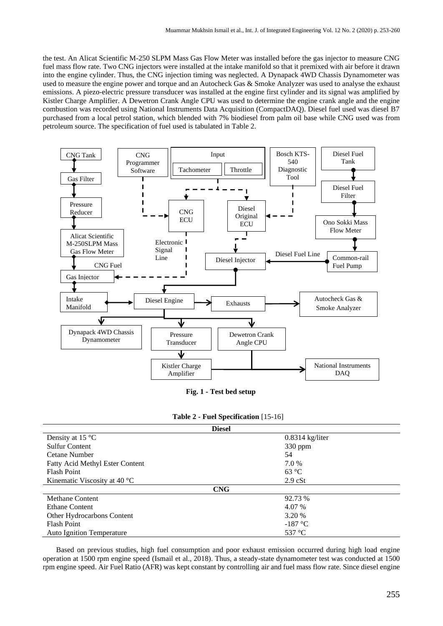the test. An Alicat Scientific M-250 SLPM Mass Gas Flow Meter was installed before the gas injector to measure CNG fuel mass flow rate. Two CNG injectors were installed at the intake manifold so that it premixed with air before it drawn into the engine cylinder. Thus, the CNG injection timing was neglected. A Dynapack 4WD Chassis Dynamometer was used to measure the engine power and torque and an Autocheck Gas & Smoke Analyzer was used to analyse the exhaust emissions. A piezo-electric pressure transducer was installed at the engine first cylinder and its signal was amplified by Kistler Charge Amplifier. A Dewetron Crank Angle CPU was used to determine the engine crank angle and the engine combustion was recorded using National Instruments Data Acquisition (CompactDAQ). Diesel fuel used was diesel B7 purchased from a local petrol station, which blended with 7% biodiesel from palm oil base while CNG used was from petroleum source. The specification of fuel used is tabulated i[n Table 2.](#page-2-1)



**Fig. 1 - Test bed setup**

|  |  |  | Table 2 - Fuel Specification [15-16] |  |
|--|--|--|--------------------------------------|--|
|--|--|--|--------------------------------------|--|

<span id="page-2-1"></span><span id="page-2-0"></span>

|                                        | <b>Diesel</b>     |
|----------------------------------------|-------------------|
| Density at 15 $\degree$ C              | $0.8314$ kg/liter |
| <b>Sulfur Content</b>                  | 330 ppm           |
| Cetane Number                          | 54                |
| <b>Fatty Acid Methyl Ester Content</b> | 7.0 %             |
| <b>Flash Point</b>                     | $63^{\circ}$ C    |
| Kinematic Viscosity at 40 $\degree$ C  | $2.9$ cSt         |
|                                        | <b>CNG</b>        |
| <b>Methane Content</b>                 | 92.73 %           |
| <b>Ethane Content</b>                  | 4.07 %            |
| Other Hydrocarbons Content             | 3.20 %            |
| <b>Flash Point</b>                     | $-187$ °C         |
| <b>Auto Ignition Temperature</b>       | 537 °C            |

Based on previous studies, high fuel consumption and poor exhaust emission occurred during high load engine operation at 1500 rpm engine speed (Ismail et al., 2018). Thus, a steady-state dynamometer test was conducted at 1500 rpm engine speed. Air Fuel Ratio (AFR) was kept constant by controlling air and fuel mass flow rate. Since diesel engine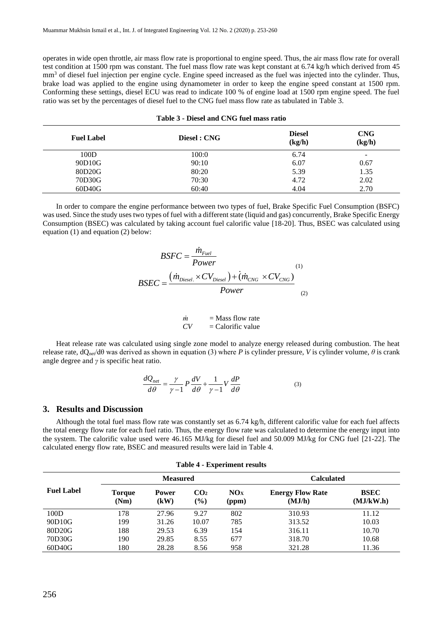operates in wide open throttle, air mass flow rate is proportional to engine speed. Thus, the air mass flow rate for overall test condition at 1500 rpm was constant. The fuel mass flow rate was kept constant at 6.74 kg/h which derived from 45 mm<sup>3</sup> of diesel fuel injection per engine cycle. Engine speed increased as the fuel was injected into the cylinder. Thus, brake load was applied to the engine using dynamometer in order to keep the engine speed constant at 1500 rpm. Conforming these settings, diesel ECU was read to indicate 100 % of engine load at 1500 rpm engine speed. The fuel ratio was set by the percentages of diesel fuel to the CNG fuel mass flow rate as tabulated in [Table 3.](#page-3-0)

<span id="page-3-0"></span>

| <b>Fuel Label</b> | Diesel : CNG | <b>Diesel</b><br>(kg/h) | <b>CNG</b><br>(kg/h) |
|-------------------|--------------|-------------------------|----------------------|
| 100D              | 100:0        | 6.74                    | -                    |
| 90D10G            | 90:10        | 6.07                    | 0.67                 |
| 80D20G            | 80:20        | 5.39                    | 1.35                 |
| 70D30G            | 70:30        | 4.72                    | 2.02                 |
| 60D40G            | 60:40        | 4.04                    | 2.70                 |

|  | Table 3 - Diesel and CNG fuel mass ratio |  |  |
|--|------------------------------------------|--|--|
|--|------------------------------------------|--|--|

In order to compare the engine performance between two types of fuel, Brake Specific Fuel Consumption (BSFC) was used. Since the study uses two types of fuel with a different state (liquid and gas) concurrently, Brake Specific Energy Consumption (BSEC) was calculated by taking account fuel calorific value [18-20]. Thus, BSEC was calculated using equation (1) and equation (2) below:

$$
BSFC = \frac{\dot{m}_{Fuel}}{Power} \tag{1}
$$
\n
$$
BSEC = \frac{(\dot{m}_{Diesel.} \times CV_{Diesel.}) + (\dot{m}_{CNG} \times CV_{CNG})}{Power} \tag{2}
$$

$$
\begin{array}{ll}\n\dot{m} & = \text{Mass flow rate} \\
CV & = \text{Calorific value}\n\end{array}
$$

Heat release rate was calculated using single zone model to analyze energy released during combustion. The heat release rate,  $dQ_{net}/dθ$  was derived as shown in equation (3) where *P* is cylinder pressure, *V* is cylinder volume,  $θ$  is crank angle degree and *γ* is specific heat ratio.

$$
\frac{dQ_{net}}{d\theta} = \frac{\gamma}{\gamma - 1} P \frac{dV}{d\theta} + \frac{1}{\gamma - 1} V \frac{dP}{d\theta}
$$
(3)

#### **3. Results and Discussion**

Although the total fuel mass flow rate was constantly set as 6.74 kg/h, different calorific value for each fuel affects the total energy flow rate for each fuel ratio. Thus, the energy flow rate was calculated to determine the energy input into the system. The calorific value used were 46.165 MJ/kg for diesel fuel and 50.009 MJ/kg for CNG fuel [21-22]. The calculated energy flow rate, BSEC and measured results were laid in [Table 4.](#page-3-1)

<span id="page-3-1"></span>

| Table + - Experiment results |                 |                      |                           |                   |                                   |                          |
|------------------------------|-----------------|----------------------|---------------------------|-------------------|-----------------------------------|--------------------------|
|                              | <b>Measured</b> |                      |                           | <b>Calculated</b> |                                   |                          |
| <b>Fuel Label</b>            | Torque<br>(Nm)  | <b>Power</b><br>(kW) | CO <sub>2</sub><br>$($ %) | NOx<br>(ppm)      | <b>Energy Flow Rate</b><br>(MJ/h) | <b>BSEC</b><br>(MJ/kW.h) |
| 100D                         | 178             | 27.96                | 9.27                      | 802               | 310.93                            | 11.12                    |
| 90D10G                       | 199             | 31.26                | 10.07                     | 785               | 313.52                            | 10.03                    |
| 80D20G                       | 188             | 29.53                | 6.39                      | 154               | 316.11                            | 10.70                    |
| 70D30G                       | 190             | 29.85                | 8.55                      | 677               | 318.70                            | 10.68                    |
| 60D40G                       | 180             | 28.28                | 8.56                      | 958               | 321.28                            | 11.36                    |

**Table 4 - Experiment results**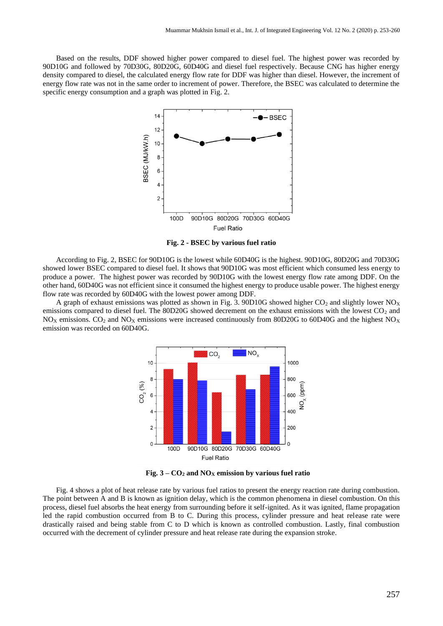Based on the results, DDF showed higher power compared to diesel fuel. The highest power was recorded by 90D10G and followed by 70D30G, 80D20G, 60D40G and diesel fuel respectively. Because CNG has higher energy density compared to diesel, the calculated energy flow rate for DDF was higher than diesel. However, the increment of energy flow rate was not in the same order to increment of power. Therefore, the BSEC was calculated to determine the specific energy consumption and a graph was plotted in [Fig.](#page-4-0) 2.



**Fig. 2 - BSEC by various fuel ratio**

<span id="page-4-0"></span>According t[o Fig.](#page-4-0) 2, BSEC for 90D10G is the lowest while 60D40G is the highest. 90D10G, 80D20G and 70D30G showed lower BSEC compared to diesel fuel. It shows that 90D10G was most efficient which consumed less energy to produce a power. The highest power was recorded by 90D10G with the lowest energy flow rate among DDF. On the other hand, 60D40G was not efficient since it consumed the highest energy to produce usable power. The highest energy flow rate was recorded by 60D40G with the lowest power among DDF.

A graph of exhaust emissions was plotted as shown in [Fig.](#page-4-1) 3. 90D10G showed higher  $CO_2$  and slightly lower NO<sub>X</sub> emissions compared to diesel fuel. The 80D20G showed decrement on the exhaust emissions with the lowest  $CO<sub>2</sub>$  and NO<sub>X</sub> emissions. CO<sub>2</sub> and NO<sub>X</sub> emissions were increased continuously from 80D20G to 60D40G and the highest NO<sub>X</sub> emission was recorded on 60D40G.



**Fig. 3 – CO<sup>2</sup> and NO<sup>X</sup> emission by various fuel ratio**

<span id="page-4-1"></span>[Fig.](#page-5-0) 4 shows a plot of heat release rate by various fuel ratios to present the energy reaction rate during combustion. The point between A and B is known as ignition delay, which is the common phenomena in diesel combustion. On this process, diesel fuel absorbs the heat energy from surrounding before it self-ignited. As it was ignited, flame propagation led the rapid combustion occurred from B to C. During this process, cylinder pressure and heat release rate were drastically raised and being stable from C to D which is known as controlled combustion. Lastly, final combustion occurred with the decrement of cylinder pressure and heat release rate during the expansion stroke.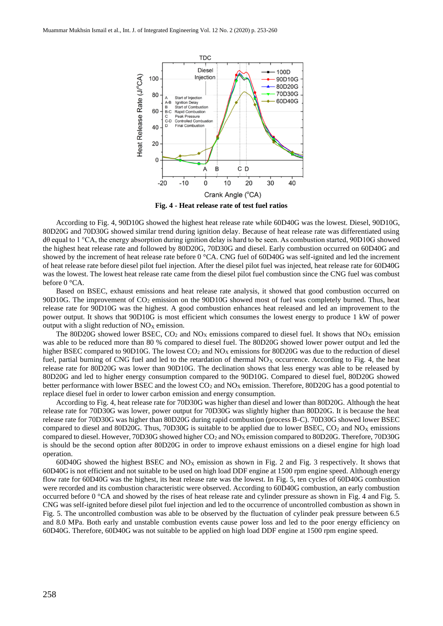

<span id="page-5-0"></span>According to [Fig.](#page-5-0) 4, 90D10G showed the highest heat release rate while 60D40G was the lowest. Diesel, 90D10G, 80D20G and 70D30G showed similar trend during ignition delay. Because of heat release rate was differentiated using dθ equal to 1 °CA, the energy absorption during ignition delay is hard to be seen. As combustion started, 90D10G showed the highest heat release rate and followed by 80D20G, 70D30G and diesel. Early combustion occurred on 60D40G and showed by the increment of heat release rate before 0 °CA. CNG fuel of 60D40G was self-ignited and led the increment of heat release rate before diesel pilot fuel injection. After the diesel pilot fuel was injected, heat release rate for 60D40G was the lowest. The lowest heat release rate came from the diesel pilot fuel combustion since the CNG fuel was combust before 0 °CA.

Based on BSEC, exhaust emissions and heat release rate analysis, it showed that good combustion occurred on 90D10G. The improvement of  $CO_2$  emission on the 90D10G showed most of fuel was completely burned. Thus, heat release rate for 90D10G was the highest. A good combustion enhances heat released and led an improvement to the power output. It shows that 90D10G is most efficient which consumes the lowest energy to produce 1 kW of power output with a slight reduction of  $NO<sub>X</sub>$  emission.

The 80D20G showed lower BSEC,  $CO_2$  and  $NO<sub>X</sub>$  emissions compared to diesel fuel. It shows that  $NO<sub>X</sub>$  emission was able to be reduced more than 80 % compared to diesel fuel. The 80D20G showed lower power output and led the higher BSEC compared to 90D10G. The lowest  $CO<sub>2</sub>$  and  $NO<sub>X</sub>$  emissions for 80D20G was due to the reduction of diesel fuel, partial burning of CNG fuel and led to the retardation of thermal  $NO<sub>X</sub>$  occurrence. According to [Fig.](#page-5-0) 4, the heat release rate for 80D20G was lower than 90D10G. The declination shows that less energy was able to be released by 80D20G and led to higher energy consumption compared to the 90D10G. Compared to diesel fuel, 80D20G showed better performance with lower BSEC and the lowest  $CO<sub>2</sub>$  and  $NO<sub>X</sub>$  emission. Therefore, 80D20G has a good potential to replace diesel fuel in order to lower carbon emission and energy consumption.

According to [Fig.](#page-5-0) 4, heat release rate for 70D30G was higher than diesel and lower than 80D20G. Although the heat release rate for 70D30G was lower, power output for 70D30G was slightly higher than 80D20G. It is because the heat release rate for 70D30G was higher than 80D20G during rapid combustion (process B-C). 70D30G showed lower BSEC compared to diesel and 80D20G. Thus, 70D30G is suitable to be applied due to lower BSEC,  $CO<sub>2</sub>$  and  $NO<sub>X</sub>$  emissions compared to diesel. However, 70D30G showed higher CO<sub>2</sub> and NO<sub>X</sub> emission compared to 80D20G. Therefore, 70D30G is should be the second option after 80D20G in order to improve exhaust emissions on a diesel engine for high load operation.

60D40G showed the highest BSEC and  $N_{\rm OX}$  emission as shown in [Fig.](#page-4-1) 2 and Fig. 3 respectively. It shows that 60D40G is not efficient and not suitable to be used on high load DDF engine at 1500 rpm engine speed. Although energy flow rate for 60D40G was the highest, its heat release rate was the lowest. In [Fig.](#page-6-0) 5, ten cycles of 60D40G combustion were recorded and its combustion characteristic were observed. According to 60D40G combustion, an early combustion occurred before 0 °CA and showed by the rises of heat release rate and cylinder pressure as shown in [Fig.](#page-5-0) 4 and [Fig.](#page-6-0) 5. CNG was self-ignited before diesel pilot fuel injection and led to the occurrence of uncontrolled combustion as shown in [Fig.](#page-6-0) 5. The uncontrolled combustion was able to be observed by the fluctuation of cylinder peak pressure between 6.5 and 8.0 MPa. Both early and unstable combustion events cause power loss and led to the poor energy efficiency on 60D40G. Therefore, 60D40G was not suitable to be applied on high load DDF engine at 1500 rpm engine speed.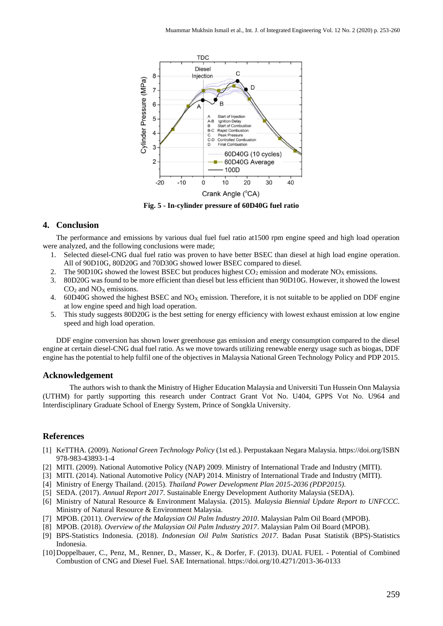

**Fig. 5 - In-cylinder pressure of 60D40G fuel ratio**

#### <span id="page-6-0"></span>**4. Conclusion**

The performance and emissions by various dual fuel fuel ratio at1500 rpm engine speed and high load operation were analyzed, and the following conclusions were made;

- 1. Selected diesel-CNG dual fuel ratio was proven to have better BSEC than diesel at high load engine operation. All of 90D10G, 80D20G and 70D30G showed lower BSEC compared to diesel.
- 2. The 90D10G showed the lowest BSEC but produces highest  $CO_2$  emission and moderate  $NO<sub>X</sub>$  emissions.<br>3. 80D20G was found to be more efficient than diesel but less efficient than 90D10G. However, it showed the
- 3. 80D20G was found to be more efficient than diesel but less efficient than 90D10G. However, it showed the lowest  $CO<sub>2</sub>$  and  $NO<sub>X</sub>$  emissions.
- 4. 60D40G showed the highest BSEC and  $NO<sub>X</sub>$  emission. Therefore, it is not suitable to be applied on DDF engine at low engine speed and high load operation.
- 5. This study suggests 80D20G is the best setting for energy efficiency with lowest exhaust emission at low engine speed and high load operation.

DDF engine conversion has shown lower greenhouse gas emission and energy consumption compared to the diesel engine at certain diesel-CNG dual fuel ratio. As we move towards utilizing renewable energy usage such as biogas, DDF engine has the potential to help fulfil one of the objectives in Malaysia National Green Technology Policy and PDP 2015.

#### **Acknowledgement**

The authors wish to thank the Ministry of Higher Education Malaysia and Universiti Tun Hussein Onn Malaysia (UTHM) for partly supporting this research under Contract Grant Vot No. U404, GPPS Vot No. U964 and Interdisciplinary Graduate School of Energy System, Prince of Songkla University.

#### **References**

- [1] KeTTHA. (2009). *National Green Technology Policy* (1st ed.). Perpustakaan Negara Malaysia. https://doi.org/ISBN 978-983-43893-1-4
- [2] MITI. (2009). National Automotive Policy (NAP) 2009. Ministry of International Trade and Industry (MITI).
- [3] MITI. (2014). National Automotive Policy (NAP) 2014. Ministry of International Trade and Industry (MITI).
- [4] Ministry of Energy Thailand. (2015). *Thailand Power Development Plan 2015-2036 (PDP2015)*.
- [5] SEDA. (2017). *Annual Report 2017*. Sustainable Energy Development Authority Malaysia (SEDA).
- [6] Ministry of Natural Resource & Environment Malaysia. (2015). *Malaysia Biennial Update Report to UNFCCC*. Ministry of Natural Resource & Environment Malaysia.
- [7] MPOB. (2011). *Overview of the Malaysian Oil Palm Industry 2010*. Malaysian Palm Oil Board (MPOB).
- [8] MPOB. (2018). *Overview of the Malaysian Oil Palm Industry 2017*. Malaysian Palm Oil Board (MPOB).
- [9] BPS-Statistics Indonesia. (2018). *Indonesian Oil Palm Statistics 2017*. Badan Pusat Statistik (BPS)-Statistics Indonesia.
- [10]Doppelbauer, C., Penz, M., Renner, D., Masser, K., & Dorfer, F. (2013). DUAL FUEL Potential of Combined Combustion of CNG and Diesel Fuel. SAE International. https://doi.org/10.4271/2013-36-0133